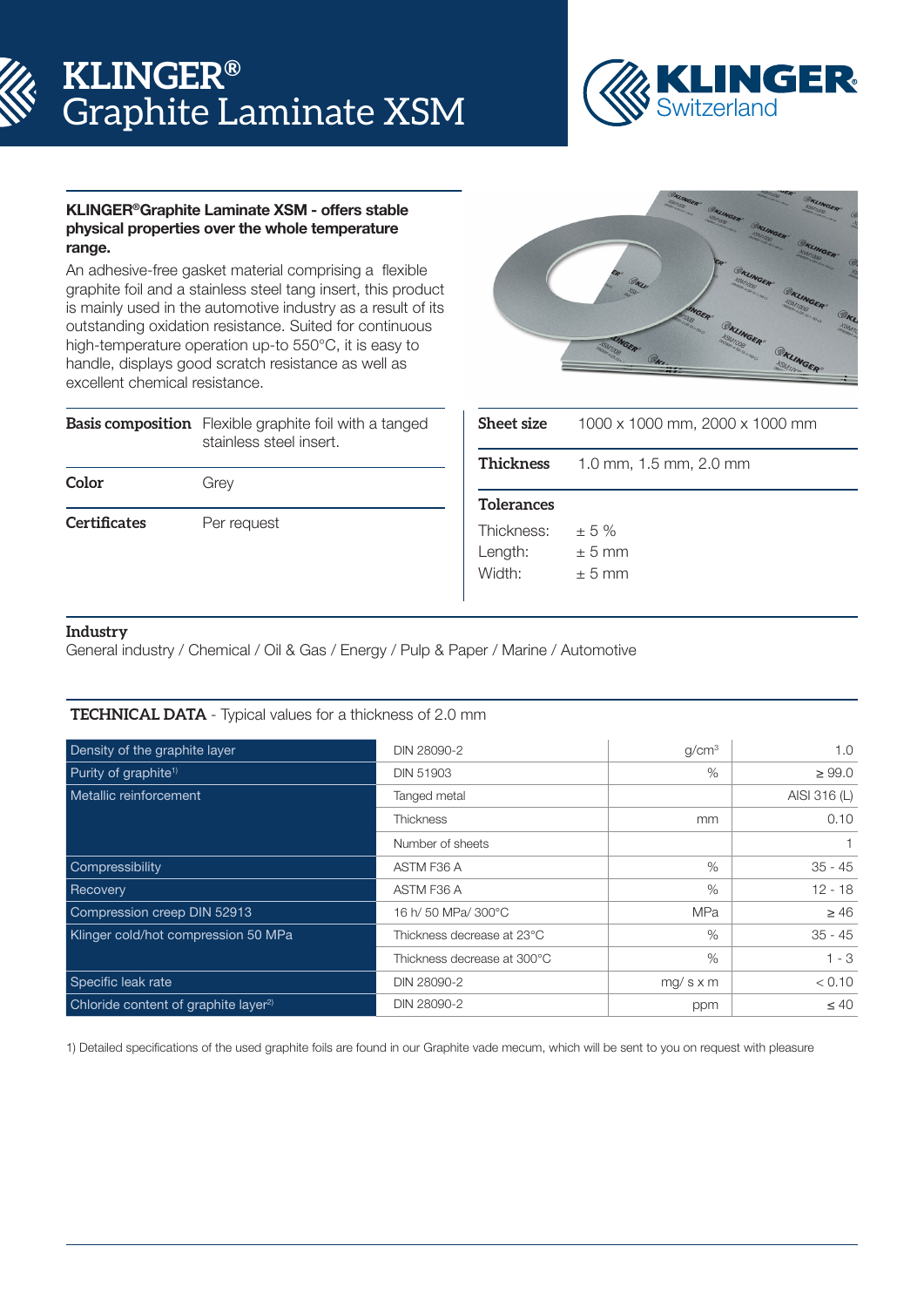# **KLINGER®** Graphite Laminate XSM



## KLINGER®Graphite Laminate XSM - offers stable physical properties over the whole temperature range.

An adhesive-free gasket material comprising a flexible graphite foil and a stainless steel tang insert, this product is mainly used in the automotive industry as a result of its outstanding oxidation resistance. Suited for continuous high-temperature operation up-to 550°C, it is easy to handle, displays good scratch resistance as well as excellent chemical resistance.

|                     | <b>Basis composition</b> Flexible graphite foil with a tanged<br>stainless steel insert. |  |  |  |
|---------------------|------------------------------------------------------------------------------------------|--|--|--|
| Color               | Grey                                                                                     |  |  |  |
| <b>Certificates</b> | Per request                                                                              |  |  |  |



| <b>Sheet size</b> | 1000 x 1000 mm, 2000 x 1000 mm |
|-------------------|--------------------------------|
| Thickness         | 1.0 mm, 1.5 mm, 2.0 mm         |
| <b>Tolerances</b> |                                |
| Thickness:        | $+5%$                          |
| Length:           | $+5$ mm                        |
| Width:            | $+5$ mm                        |

# **Industry**

General industry / Chemical / Oil & Gas / Energy / Pulp & Paper / Marine / Automotive

# **TECHNICAL DATA** - Typical values for a thickness of 2.0 mm

| Density of the graphite layer                    | DIN 28090-2                 | q/cm <sup>3</sup> | 1.0          |
|--------------------------------------------------|-----------------------------|-------------------|--------------|
| Purity of graphite <sup>1)</sup>                 | <b>DIN 51903</b>            | %                 | $\geq 99.0$  |
| Metallic reinforcement                           | Tanged metal                |                   | AISI 316 (L) |
|                                                  | <b>Thickness</b>            | mm                | 0.10         |
|                                                  | Number of sheets            |                   |              |
| Compressibility                                  | ASTM F36 A                  | $\%$              | $35 - 45$    |
| Recovery                                         | ASTM F36 A                  | $\%$              | $12 - 18$    |
| Compression creep DIN 52913                      | 16 h/ 50 MPa/ 300°C         | <b>MPa</b>        | $\geq 46$    |
| Klinger cold/hot compression 50 MPa              | Thickness decrease at 23°C  | $\%$              | $35 - 45$    |
|                                                  | Thickness decrease at 300°C | $\%$              | $1 - 3$      |
| Specific leak rate                               | DIN 28090-2                 | $mg/s \times m$   | < 0.10       |
| Chloride content of graphite layer <sup>2)</sup> | DIN 28090-2                 | ppm               | $\leq 40$    |

1) Detailed specifications of the used graphite foils are found in our Graphite vade mecum, which will be sent to you on request with pleasure